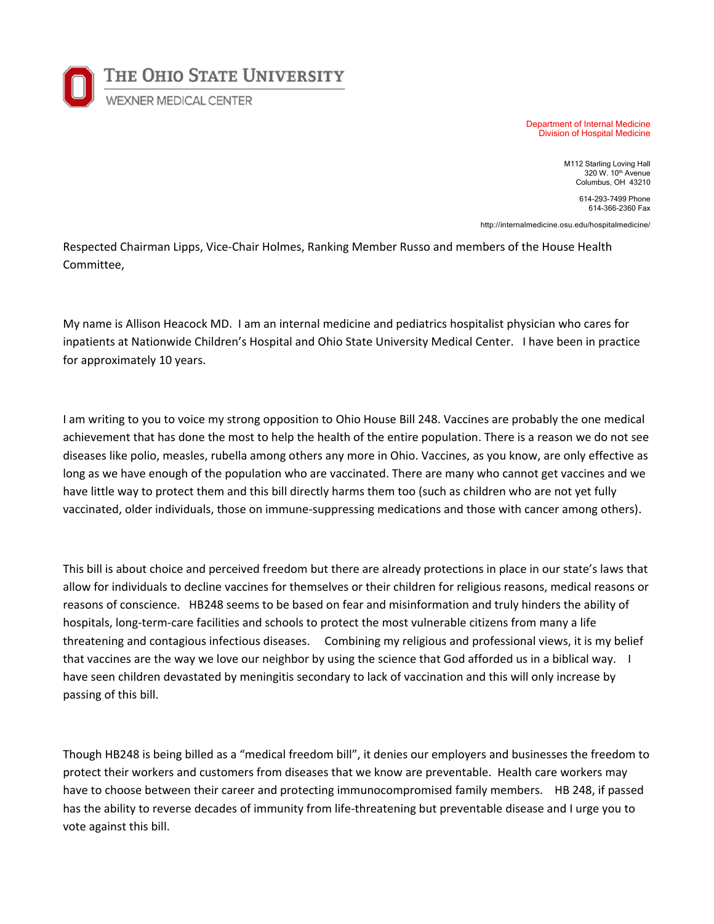

Department of Internal Medicine Division of Hospital Medicine

> M112 Starling Loving Hall 320 W. 10th Avenue Columbus, OH 43210

> > 614-293-7499 Phone 614-366-2360 Fax

http://internalmedicine.osu.edu/hospitalmedicine/

Respected Chairman Lipps, Vice-Chair Holmes, Ranking Member Russo and members of the House Health Committee,

My name is Allison Heacock MD. I am an internal medicine and pediatrics hospitalist physician who cares for inpatients at Nationwide Children's Hospital and Ohio State University Medical Center. I have been in practice for approximately 10 years.

I am writing to you to voice my strong opposition to Ohio House Bill 248. Vaccines are probably the one medical achievement that has done the most to help the health of the entire population. There is a reason we do not see diseases like polio, measles, rubella among others any more in Ohio. Vaccines, as you know, are only effective as long as we have enough of the population who are vaccinated. There are many who cannot get vaccines and we have little way to protect them and this bill directly harms them too (such as children who are not yet fully vaccinated, older individuals, those on immune-suppressing medications and those with cancer among others).

This bill is about choice and perceived freedom but there are already protections in place in our state's laws that allow for individuals to decline vaccines for themselves or their children for religious reasons, medical reasons or reasons of conscience. HB248 seems to be based on fear and misinformation and truly hinders the ability of hospitals, long-term-care facilities and schools to protect the most vulnerable citizens from many a life threatening and contagious infectious diseases. Combining my religious and professional views, it is my belief that vaccines are the way we love our neighbor by using the science that God afforded us in a biblical way. I have seen children devastated by meningitis secondary to lack of vaccination and this will only increase by passing of this bill.

Though HB248 is being billed as a "medical freedom bill", it denies our employers and businesses the freedom to protect their workers and customers from diseases that we know are preventable. Health care workers may have to choose between their career and protecting immunocompromised family members. HB 248, if passed has the ability to reverse decades of immunity from life-threatening but preventable disease and I urge you to vote against this bill.